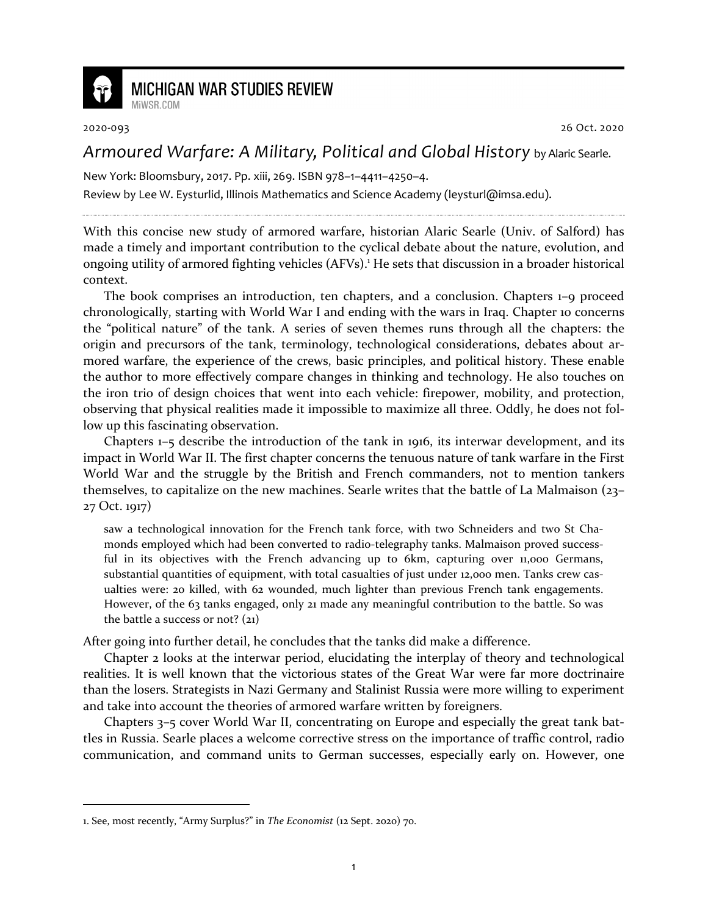

## **MICHIGAN WAR STUDIES REVIEW**

MiWSR COM

2020-093 26 Oct. 2020

## *Armoured Warfare: A Military, Political and Global History* by Alaric Searle.

New York: Bloomsbury, 2017. Pp. xiii, 269. ISBN 978–1–4411–4250–4.

Review by Lee W. Eysturlid, Illinois Mathematics and Science Academy (leysturl@imsa.edu).

With this concise new study of armored warfare, historian Alaric Searle (Univ. of Salford) has made a timely and important contribution to the cyclical debate about the nature, evolution, and ongoing utility of armored fighting vehicles (AFVs).<sup>1</sup> He sets that discussion in a broader historical context.

The book comprises an introduction, ten chapters, and a conclusion. Chapters 1–9 proceed chronologically, starting with World War I and ending with the wars in Iraq. Chapter 10 concerns the "political nature" of the tank. A series of seven themes runs through all the chapters: the origin and precursors of the tank, terminology, technological considerations, debates about armored warfare, the experience of the crews, basic principles, and political history. These enable the author to more effectively compare changes in thinking and technology. He also touches on the iron trio of design choices that went into each vehicle: firepower, mobility, and protection, observing that physical realities made it impossible to maximize all three. Oddly, he does not follow up this fascinating observation.

Chapters 1–5 describe the introduction of the tank in 1916, its interwar development, and its impact in World War II. The first chapter concerns the tenuous nature of tank warfare in the First World War and the struggle by the British and French commanders, not to mention tankers themselves, to capitalize on the new machines. Searle writes that the battle of La Malmaison (23– 27 Oct. 1917)

saw a technological innovation for the French tank force, with two Schneiders and two St Chamonds employed which had been converted to radio-telegraphy tanks. Malmaison proved successful in its objectives with the French advancing up to 6km, capturing over 11,000 Germans, substantial quantities of equipment, with total casualties of just under 12,000 men. Tanks crew casualties were: 20 killed, with 62 wounded, much lighter than previous French tank engagements. However, of the 63 tanks engaged, only 21 made any meaningful contribution to the battle. So was the battle a success or not?  $(21)$ 

After going into further detail, he concludes that the tanks did make a difference.

Chapter 2 looks at the interwar period, elucidating the interplay of theory and technological realities. It is well known that the victorious states of the Great War were far more doctrinaire than the losers. Strategists in Nazi Germany and Stalinist Russia were more willing to experiment and take into account the theories of armored warfare written by foreigners.

Chapters 3–5 cover World War II, concentrating on Europe and especially the great tank battles in Russia. Searle places a welcome corrective stress on the importance of traffic control, radio communication, and command units to German successes, especially early on. However, one

<sup>1.</sup> See, most recently, "Army Surplus?" in *The Economist* (12 Sept. 2020) 70.